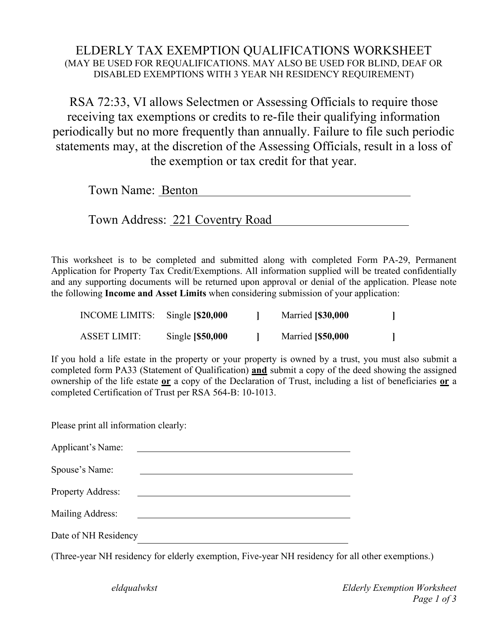## ELDERLY TAX EXEMPTION QUALIFICATIONS WORKSHEET (MAY BE USED FOR REQUALIFICATIONS. MAY ALSO BE USED FOR BLIND, DEAF OR DISABLED EXEMPTIONS WITH 3 YEAR NH RESIDENCY REQUIREMENT)

RSA 72:33, VI allows Selectmen or Assessing Officials to require those receiving tax exemptions or credits to re-file their qualifying information periodically but no more frequently than annually. Failure to file such periodic statements may, at the discretion of the Assessing Officials, result in a loss of the exemption or tax credit for that year.

| Town Name: Benton |  |
|-------------------|--|
|                   |  |

Town Address: 221 Coventry Road

This worksheet is to be completed and submitted along with completed Form PA-29, Permanent Application for Property Tax Credit/Exemptions. All information supplied will be treated confidentially and any supporting documents will be returned upon approval or denial of the application. Please note the following **Income and Asset Limits** when considering submission of your application:

| INCOME LIMITS: | Single $\left[\frac{$20,000}{$20,000}\right]$ | <b>Married</b> [\$30,000 |  |
|----------------|-----------------------------------------------|--------------------------|--|
| ASSET LIMIT:   | Single [\$50,000                              | <b>Married</b> [\$50,000 |  |

If you hold a life estate in the property or your property is owned by a trust, you must also submit a completed form PA33 (Statement of Qualification) **and** submit a copy of the deed showing the assigned ownership of the life estate **or** a copy of the Declaration of Trust, including a list of beneficiaries **or** a completed Certification of Trust per RSA 564-B: 10-1013.

Please print all information clearly:

| Applicant's Name:        |  |
|--------------------------|--|
| Spouse's Name:           |  |
| <b>Property Address:</b> |  |
| Mailing Address:         |  |
| Date of NH Residency     |  |
|                          |  |

(Three-year NH residency for elderly exemption, Five-year NH residency for all other exemptions.)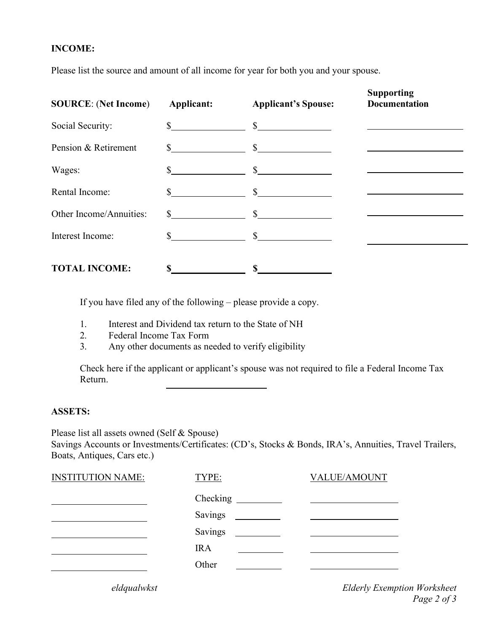## **INCOME:**

Please list the source and amount of all income for year for both you and your spouse.

| <b>SOURCE: (Net Income)</b> | <b>Applicant:</b> | <b>Applicant's Spouse:</b> | <b>Supporting</b><br><b>Documentation</b> |  |
|-----------------------------|-------------------|----------------------------|-------------------------------------------|--|
| Social Security:            | $\mathbb{S}$      | $\mathcal{S}$              |                                           |  |
| Pension & Retirement        | $\mathbb{S}$      | $\mathbb{S}$               |                                           |  |
| Wages:                      |                   | $\mathbb{S}$               |                                           |  |
| Rental Income:              |                   | $\mathbb{S}$               |                                           |  |
| Other Income/Annuities:     | S.                | $\mathbb{S}$               |                                           |  |
| Interest Income:            | S.                | $\mathcal{S}$              |                                           |  |
| <b>TOTAL INCOME:</b>        | \$                | S                          |                                           |  |

If you have filed any of the following – please provide a copy.

- 1. Interest and Dividend tax return to the State of NH
- 2. Federal Income Tax Form
- 3. Any other documents as needed to verify eligibility

Check here if the applicant or applicant's spouse was not required to file a Federal Income Tax Return.

## **ASSETS:**

Please list all assets owned (Self & Spouse) Savings Accounts or Investments/Certificates: (CD's, Stocks & Bonds, IRA's, Annuities, Travel Trailers, Boats, Antiques, Cars etc.)

| <b>INSTITUTION NAME:</b> | TYPE:             | <b>VALUE/AMOUNT</b>                                          |
|--------------------------|-------------------|--------------------------------------------------------------|
|                          | $\text{Checking}$ | <u> 1989 - Johann Stein, mars an de Britannich (b. 1989)</u> |
|                          | Savings           |                                                              |
|                          | Savings           |                                                              |
|                          | <b>IRA</b>        |                                                              |
|                          | Other             |                                                              |
|                          |                   |                                                              |

*eldqualwkst Elderly Exemption Worksheet Page 2 of 3*